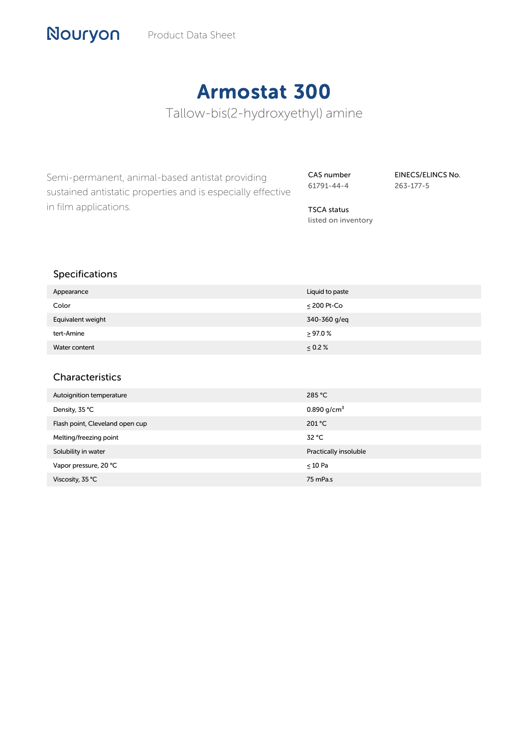# Armostat 300

Tallow-bis(2-hydroxyethyl) amine

Semi-permanent, animal-based antistat providing sustained antistatic properties and is especially effective in film applications.

CAS number 61791-44-4

TSCA status listed on inventory EINECS/ELINCS No. 263-177-5

| . .               |                  |
|-------------------|------------------|
| Appearance        | Liquid to paste  |
| Color             | $\leq$ 200 Pt-Co |
| Equivalent weight | 340-360 g/eq     |
| tert-Amine        | >97.0%           |
| Water content     | $\leq 0.2 \%$    |
|                   |                  |

#### Characteristics

Specifications

Nouryon

| Autoignition temperature        | 285 °C                  |
|---------------------------------|-------------------------|
| Density, 35 °C                  | 0.890 g/cm <sup>3</sup> |
| Flash point, Cleveland open cup | 201 °C                  |
| Melting/freezing point          | 32 °C                   |
| Solubility in water             | Practically insoluble   |
| Vapor pressure, 20 °C           | $\leq 10$ Pa            |
| Viscosity, 35 °C                | 75 mPa.s                |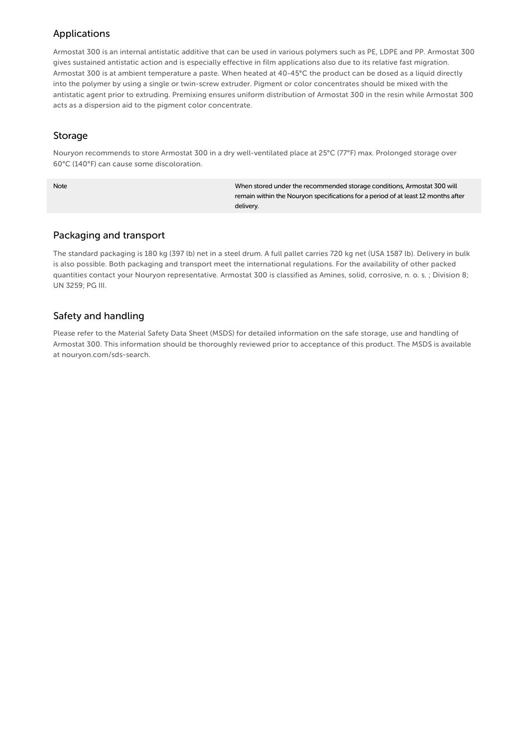## Applications

Armostat 300 is an internal antistatic additive that can be used in various polymers such as PE, LDPE and PP. Armostat 300 gives sustained antistatic action and is especially effective in film applications also due to its relative fast migration. Armostat 300 is at ambient temperature a paste. When heated at 40-45°C the product can be dosed as a liquid directly into the polymer by using a single or twin-screw extruder. Pigment or color concentrates should be mixed with the antistatic agent prior to extruding. Premixing ensures uniform distribution of Armostat 300 in the resin while Armostat 300 acts as a dispersion aid to the pigment color concentrate.

#### Storage

Nouryon recommends to store Armostat 300 in a dry well-ventilated place at 25°C (77°F) max. Prolonged storage over 60°C (140°F) can cause some discoloration.

Note When stored under the recommended storage conditions, Armostat 300 will remain within the Nouryon specifications for a period of at least 12 months after delivery.

## Packaging and transport

The standard packaging is 180 kg (397 lb) net in a steel drum. A full pallet carries 720 kg net (USA 1587 lb). Delivery in bulk is also possible. Both packaging and transport meet the international regulations. For the availability of other packed quantities contact your Nouryon representative. Armostat 300 is classified as Amines, solid, corrosive, n. o. s. ; Division 8; UN 3259; PG III.

# Safety and handling

Please refer to the Material Safety Data Sheet (MSDS) for detailed information on the safe storage, use and handling of Armostat 300. This information should be thoroughly reviewed prior to acceptance of this product. The MSDS is available at nouryon.com/sds-search.